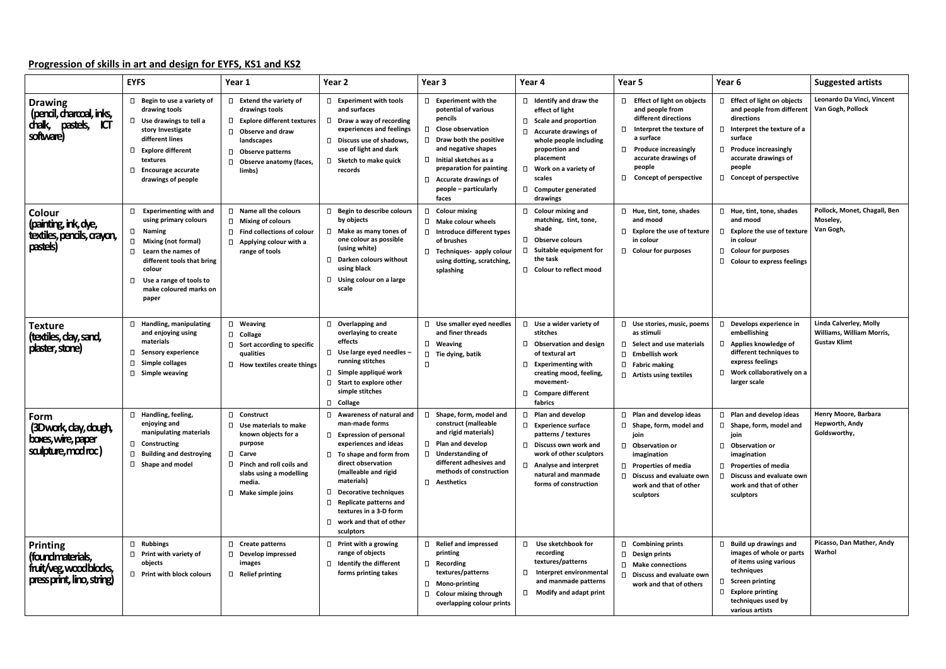## **Progression of skills in art and design for EYFS, KS1 and KS2**

|                                                                                           | <b>EYFS</b>                                                                                                                                                                                                                                 | Year 1                                                                                                                                                                                        | Year 2                                                                                                                                                                                                                                                                                                                                       | Year 3                                                                                                                                                                                                                                                                         | Year 4                                                                                                                                                                                                                                                   | Year 5                                                                                                                                                                                                               | Year <sub>6</sub>                                                                                                                                                                                                         | <b>Suggested artists</b>                                                   |
|-------------------------------------------------------------------------------------------|---------------------------------------------------------------------------------------------------------------------------------------------------------------------------------------------------------------------------------------------|-----------------------------------------------------------------------------------------------------------------------------------------------------------------------------------------------|----------------------------------------------------------------------------------------------------------------------------------------------------------------------------------------------------------------------------------------------------------------------------------------------------------------------------------------------|--------------------------------------------------------------------------------------------------------------------------------------------------------------------------------------------------------------------------------------------------------------------------------|----------------------------------------------------------------------------------------------------------------------------------------------------------------------------------------------------------------------------------------------------------|----------------------------------------------------------------------------------------------------------------------------------------------------------------------------------------------------------------------|---------------------------------------------------------------------------------------------------------------------------------------------------------------------------------------------------------------------------|----------------------------------------------------------------------------|
| <b>Drawing</b><br>(pencil, charcoal, inks,<br>dhalk,<br>pastels,<br>ЮT<br>software)       | $\Box$ Begin to use a variety of<br>drawing tools<br>$\Box$ Use drawings to tell a<br>story Investigate<br>different lines<br>□ Explore different<br>textures<br>$\Box$ Encourage accurate<br>drawings of people                            | $\Box$ Extend the variety of<br>drawings tools<br>□ Explore different textures<br><b>Observe and draw</b><br>landscapes<br><b>Observe patterns</b><br>0.<br>Observe anatomy (faces.<br>limbs) | $\Box$ Experiment with tools<br>and surfaces<br>Draw a way of recording<br>experiences and feelings<br>$\Box$ Discuss use of shadows,<br>use of light and dark<br>$\Box$ Sketch to make quick<br>records                                                                                                                                     | $\Box$ Experiment with the<br>potential of various<br>pencils<br>$\Box$ Close observation<br>$\Box$ Draw both the positive<br>and negative shapes<br>$\Box$ Initial sketches as a<br>preparation for painting<br>$\Box$ Accurate drawings of<br>people – particularly<br>faces | $\Box$ Identify and draw the<br>effect of light<br>$\Box$ Scale and proportion<br>$\Box$ Accurate drawings of<br>whole people including<br>proportion and<br>placement<br>$\Box$ Work on a variety of<br>scales<br>$\Box$ Computer generated<br>drawings | □ Effect of light on objects<br>and people from<br>different directions<br>□ Interpret the texture of<br>a surface<br>$\Box$ Produce increasingly<br>accurate drawings of<br>people<br>$\Box$ Concept of perspective | □ Effect of light on objects<br>and people from different<br>directions<br>$\Box$ Interpret the texture of a<br>surface<br>$\Box$ Produce increasingly<br>accurate drawings of<br>people<br>$\Box$ Concept of perspective | Leonardo Da Vinci, Vincent<br>Van Gogh, Pollock                            |
| Colour<br>(painting, ink, dye,<br>textiles, pencils, crayon,<br>pastels)                  | $\Box$ Experimenting with and<br>using primary colours<br>□ Naming<br>□ Mixing (not formal)<br>Learn the names of<br>$\Box$<br>different tools that bring<br>colour<br>Use a range of tools to<br>$\Box$<br>make coloured marks on<br>paper | $\Box$ Name all the colours<br>$\Box$ Mixing of colours<br><b>Find collections of colour</b><br>$\Box$ Applying colour with a<br>range of tools                                               | <b>Begin to describe colours</b><br>$\Box$<br>by objects<br>Make as many tones of<br>one colour as possible<br>(using white)<br>$\Box$ Darken colours without<br>using black<br>$\Box$ Using colour on a large<br>scale                                                                                                                      | □ Colour mixing<br>$\Box$ Make colour wheels<br>$\Box$ Introduce different types<br>of brushes<br>□ Techniques- apply colour<br>using dotting, scratching,<br>splashing                                                                                                        | $\Box$ Colour mixing and<br>matching, tint, tone,<br>shade<br>$\Box$ Observe colours<br>$\Box$ Suitable equipment for<br>the task<br>□ Colour to reflect mood                                                                                            | $\Box$ Hue, tint, tone, shades<br>and mood<br>$\Box$ Explore the use of texture<br>in colour<br>□ Colour for purposes                                                                                                | $\Box$ Hue, tint, tone, shades<br>and mood<br>$\Box$ Explore the use of texture<br>in colour<br>$\Box$ Colour for purposes<br>□ Colour to express feelings                                                                | Pollock, Monet, Chagall, Ben<br>Moseley,<br>Van Gogh,                      |
| <b>Texture</b><br>(textiles, clay, sand,<br>plaster, stone)                               | $\Box$ Handling, manipulating<br>and enjoying using<br>materials<br>$\Box$<br><b>Sensory experience</b><br><b>Simple collages</b><br>$\Box$<br>$\Box$ Simple weaving                                                                        | □ Weaving<br>□ Collage<br>$\Box$ Sort according to specific<br>qualities<br>$\Box$ How textiles create things                                                                                 | $\Box$ Overlapping and<br>overlaying to create<br>effects<br>$\Box$ Use large eyed needles -<br>running stitches<br>$\Box$ Simple appliqué work<br>$\Box$<br>Start to explore other<br>simple stitches<br>□ Collage                                                                                                                          | $\Box$ Use smaller eyed needles<br>and finer threads<br>□ Weaving<br>$\Box$ Tie dying, batik<br>$\Box$                                                                                                                                                                         | $\Box$ Use a wider variety of<br>stitches<br><b>Observation and design</b><br>of textural art<br>$\Box$ Experimenting with<br>creating mood, feeling,<br>movement-<br>□ Compare different<br>fabrics                                                     | $\Box$ Use stories, music, poems<br>as stimuli<br>$\Box$ Select and use materials<br>$\Box$ Embellish work<br>$\Box$ Fabric making<br>$\Box$ Artists using textiles                                                  | $\Box$ Develops experience in<br>embellishing<br>□ Applies knowledge of<br>different techniques to<br>express feelings<br>$\Box$ Work collaboratively on a<br>larger scale                                                | Linda Calverley, Molly<br>Williams, William Morris,<br><b>Gustav Klimt</b> |
| Form<br>(3Dwork, clay, dough,<br>boxes, wire, paper<br>salpture, modroc)                  | □ Handling, feeling,<br>enjoying and<br>manipulating materials<br>$\Box$ Constructing<br>$\Box$<br><b>Building and destroying</b><br>□ Shape and model                                                                                      | □ Construct<br>$\Box$ Use materials to make<br>known objects for a<br>purpose<br>□ Carve<br>$\Box$ Pinch and roll coils and<br>slabs using a modelling<br>media.<br>$\Box$ Make simple joins  | □ Awareness of natural and<br>man-made forms<br>$\Box$<br><b>Expression of personal</b><br>experiences and ideas<br>To shape and form from<br>direct observation<br>(malleable and rigid<br>materials)<br>O<br>Decorative techniques<br>$\Box$ Replicate patterns and<br>textures in a 3-D form<br>work and that of other<br>П.<br>sculptors | Shape, form, model and<br>$\Box$<br>construct (malleable<br>and rigid materials)<br>$\Box$ Plan and develop<br>$\Box$ Understanding of<br>different adhesives and<br>methods of construction<br>$\Box$ Aesthetics                                                              | Plan and develop<br>$\Box$ Experience surface<br>patterns / textures<br>$\Box$ Discuss own work and<br>work of other sculptors<br>$\Box$ Analyse and interpret<br>natural and manmade<br>forms of construction                                           | $\Box$ Plan and develop ideas<br>$\Box$ Shape, form, model and<br>join<br><b>D</b> Observation or<br>imagination<br>$\Box$ Properties of media<br>D Discuss and evaluate own<br>work and that of other<br>sculptors  | $\Box$ Plan and develop ideas<br>$\Box$ Shape, form, model and<br>join<br>□ Observation or<br>imagination<br>$\Box$ Properties of media<br>$\Box$ Discuss and evaluate own<br>work and that of other<br>sculptors         | Henry Moore, Barbara<br>Hepworth, Andy<br>Goldsworthy,                     |
| <b>Printing</b><br>(foundmaterials,<br>fruit/veg.woodblods,<br>press print, lino, string) | □ Rubbings<br>$\Box$ Print with variety of<br>objects<br>□ Print with block colours                                                                                                                                                         | □ Create patterns<br>$\Box$ Develop impressed<br>images<br>Relief printing                                                                                                                    | $\Box$ Print with a growing<br>range of objects<br>$\Box$<br><b>Identify the different</b><br>forms printing takes                                                                                                                                                                                                                           | □ Relief and impressed<br>printing<br>$\Box$ Recording<br>textures/patterns<br>□ Mono-printing<br>$\Box$ Colour mixing through<br>overlapping colour prints                                                                                                                    | Use sketchbook for<br>$\Box$<br>recording<br>textures/patterns<br>Interpret environmental<br>$\Box$<br>and manmade patterns<br>$\Box$<br><b>Modify and adapt print</b>                                                                                   | □ Combining prints<br>$\Box$ Design prints<br>$\Box$ Make connections<br>$\square$ Discuss and evaluate own<br>work and that of others                                                                               | $\Box$ Build up drawings and<br>images of whole or parts<br>of items using various<br>techniques<br>$\Box$ Screen printing<br>$\Box$ Explore printing<br>techniques used by<br>various artists                            | Picasso, Dan Mather, Andy<br>Warhol                                        |